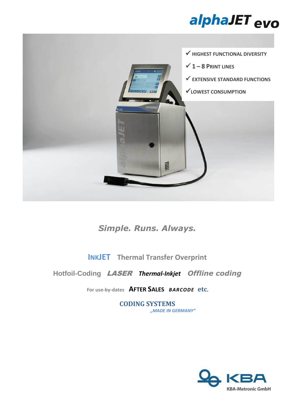



*Simple. Runs. Always.* 

**INKJET Thermal Transfer Overprint**

**Hotfoil-Coding** LASER *Thermal-Inkjet**Offline coding*

**For use-by-dates AFTER SALES** *BARCODE* **etc.** 

**CODING SYSTEMS** *"MADE IN GERMANY"*